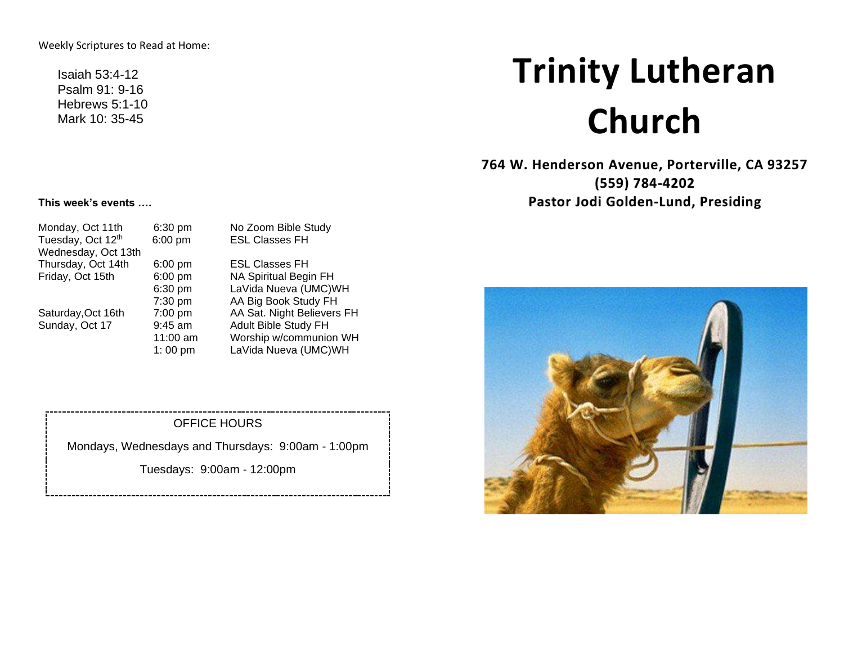Weekly Scriptures to Read at Home:

Isaiah 53:4-12 Psalm 91: 9-16 Hebrews 5:1-10 Mark 10: 35-45

# **Trinity Lutheran Church**

**764 W. Henderson Avenue, Porterville, CA 93257 (559) 784-4202 Pastor Jodi Golden-Lund, Presiding**

#### **This week's events ….**

| Monday, Oct 11th    | 6:30 pm   | No Zoom Bible Study        |
|---------------------|-----------|----------------------------|
| Tuesday, Oct 12th   | 6:00 pm   | <b>ESL Classes FH</b>      |
| Wednesday, Oct 13th |           |                            |
| Thursday, Oct 14th  | $6:00$ pm | <b>ESL Classes FH</b>      |
| Friday, Oct 15th    | $6:00$ pm | NA Spiritual Begin FH      |
|                     | 6:30 pm   | LaVida Nueva (UMC)WH       |
|                     | 7:30 pm   | AA Big Book Study FH       |
| Saturday, Oct 16th  | $7:00$ pm | AA Sat. Night Believers FH |
| Sunday, Oct 17      | $9:45$ am | Adult Bible Study FH       |
|                     | 11:00 am  | Worship w/communion WH     |
|                     | 1:00 pm   | LaVida Nueva (UMC)WH       |

#### OFFICE HOURS

Mondays, Wednesdays and Thursdays: 9:00am - 1:00pm

Tuesdays: 9:00am - 12:00pm